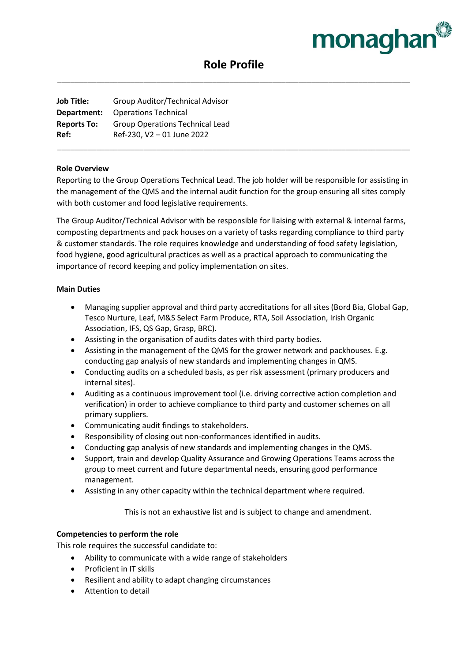

# **Role Profile** \_\_\_\_\_\_\_\_\_\_\_\_\_\_\_\_\_\_\_\_\_\_\_\_\_\_\_\_\_\_\_\_\_\_\_\_\_\_\_\_\_\_\_\_\_\_\_\_\_\_\_\_\_\_\_\_\_\_\_\_\_\_\_\_\_\_\_\_\_\_\_\_\_\_\_\_\_\_\_\_\_\_

**Job Title:** Group Auditor/Technical Advisor **Department:** Operations Technical **Reports To:** Group Operations Technical Lead **Ref:** Ref-230, V2 – 01 June 2022

## **Role Overview**

Reporting to the Group Operations Technical Lead. The job holder will be responsible for assisting in the management of the QMS and the internal audit function for the group ensuring all sites comply with both customer and food legislative requirements.

\_\_\_\_\_\_\_\_\_\_\_\_\_\_\_\_\_\_\_\_\_\_\_\_\_\_\_\_\_\_\_\_\_\_\_\_\_\_\_\_\_\_\_\_\_\_\_\_\_\_\_\_\_\_\_\_\_\_\_\_\_\_\_\_\_\_\_\_\_\_\_\_\_\_\_\_\_\_\_\_\_\_

The Group Auditor/Technical Advisor with be responsible for liaising with external & internal farms, composting departments and pack houses on a variety of tasks regarding compliance to third party & customer standards. The role requires knowledge and understanding of food safety legislation, food hygiene, good agricultural practices as well as a practical approach to communicating the importance of record keeping and policy implementation on sites.

#### **Main Duties**

- Managing supplier approval and third party accreditations for all sites (Bord Bia, Global Gap, Tesco Nurture, Leaf, M&S Select Farm Produce, RTA, Soil Association, Irish Organic Association, IFS, QS Gap, Grasp, BRC).
- Assisting in the organisation of audits dates with third party bodies.
- Assisting in the management of the QMS for the grower network and packhouses. E.g. conducting gap analysis of new standards and implementing changes in QMS.
- Conducting audits on a scheduled basis, as per risk assessment (primary producers and internal sites).
- Auditing as a continuous improvement tool (i.e. driving corrective action completion and verification) in order to achieve compliance to third party and customer schemes on all primary suppliers.
- Communicating audit findings to stakeholders.
- Responsibility of closing out non-conformances identified in audits.
- Conducting gap analysis of new standards and implementing changes in the QMS.
- Support, train and develop Quality Assurance and Growing Operations Teams across the group to meet current and future departmental needs, ensuring good performance management.
- Assisting in any other capacity within the technical department where required.

This is not an exhaustive list and is subject to change and amendment.

### **Competencies to perform the role**

This role requires the successful candidate to:

- Ability to communicate with a wide range of stakeholders
- Proficient in IT skills
- Resilient and ability to adapt changing circumstances
- Attention to detail